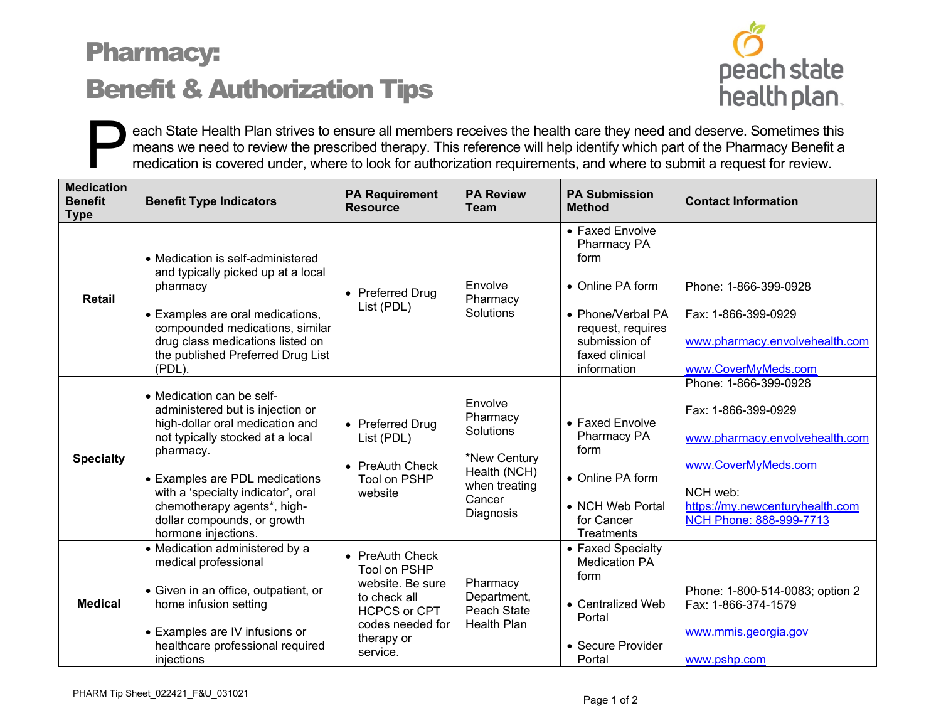## Pharmacy: Benefit & Authorization Tips



each State Health Plan strives to ensure all members receives the health care they need and deserve. Sometimes this means we need to review the prescribed therapy. This reference will help identify which part of the Pharma means we need to review the prescribed therapy. This reference will help identify which part of the Pharmacy Benefit a medication is covered under, where to look for authorization requirements, and where to submit a request for review.

| <b>Medication</b><br><b>Benefit</b><br><b>Type</b> | <b>Benefit Type Indicators</b>                                                                                                                                                                                                                                                                                 | <b>PA Requirement</b><br><b>Resource</b>                                                                                                 | <b>PA Review</b><br><b>Team</b>                                                                          | <b>PA Submission</b><br><b>Method</b>                                                                                                                  | <b>Contact Information</b>                                                                                                                                                      |
|----------------------------------------------------|----------------------------------------------------------------------------------------------------------------------------------------------------------------------------------------------------------------------------------------------------------------------------------------------------------------|------------------------------------------------------------------------------------------------------------------------------------------|----------------------------------------------------------------------------------------------------------|--------------------------------------------------------------------------------------------------------------------------------------------------------|---------------------------------------------------------------------------------------------------------------------------------------------------------------------------------|
| <b>Retail</b>                                      | • Medication is self-administered<br>and typically picked up at a local<br>pharmacy<br>• Examples are oral medications,<br>compounded medications, similar<br>drug class medications listed on<br>the published Preferred Drug List<br>(PDL).                                                                  | • Preferred Drug<br>List (PDL)                                                                                                           | Envolve<br>Pharmacy<br>Solutions                                                                         | • Faxed Envolve<br>Pharmacy PA<br>form<br>• Online PA form<br>• Phone/Verbal PA<br>request, requires<br>submission of<br>faxed clinical<br>information | Phone: 1-866-399-0928<br>Fax: 1-866-399-0929<br>www.pharmacy.envolvehealth.com<br>www.CoverMyMeds.com                                                                           |
| <b>Specialty</b>                                   | • Medication can be self-<br>administered but is injection or<br>high-dollar oral medication and<br>not typically stocked at a local<br>pharmacy.<br>• Examples are PDL medications<br>with a 'specialty indicator', oral<br>chemotherapy agents*, high-<br>dollar compounds, or growth<br>hormone injections. | • Preferred Drug<br>List (PDL)<br>• PreAuth Check<br>Tool on PSHP<br>website                                                             | Envolve<br>Pharmacy<br>Solutions<br>*New Century<br>Health (NCH)<br>when treating<br>Cancer<br>Diagnosis | • Faxed Envolve<br>Pharmacy PA<br>form<br>• Online PA form<br>• NCH Web Portal<br>for Cancer<br><b>Treatments</b>                                      | Phone: 1-866-399-0928<br>Fax: 1-866-399-0929<br>www.pharmacy.envolvehealth.com<br>www.CoverMyMeds.com<br>NCH web:<br>https://my.newcenturyhealth.com<br>NCH Phone: 888-999-7713 |
| <b>Medical</b>                                     | • Medication administered by a<br>medical professional<br>• Given in an office, outpatient, or<br>home infusion setting<br>• Examples are IV infusions or<br>healthcare professional required<br>injections                                                                                                    | • PreAuth Check<br>Tool on PSHP<br>website. Be sure<br>to check all<br><b>HCPCS or CPT</b><br>codes needed for<br>therapy or<br>service. | Pharmacy<br>Department,<br>Peach State<br><b>Health Plan</b>                                             | • Faxed Specialty<br><b>Medication PA</b><br>form<br>• Centralized Web<br>Portal<br>• Secure Provider<br>Portal                                        | Phone: 1-800-514-0083; option 2<br>Fax: 1-866-374-1579<br>www.mmis.georgia.gov<br>www.pshp.com                                                                                  |